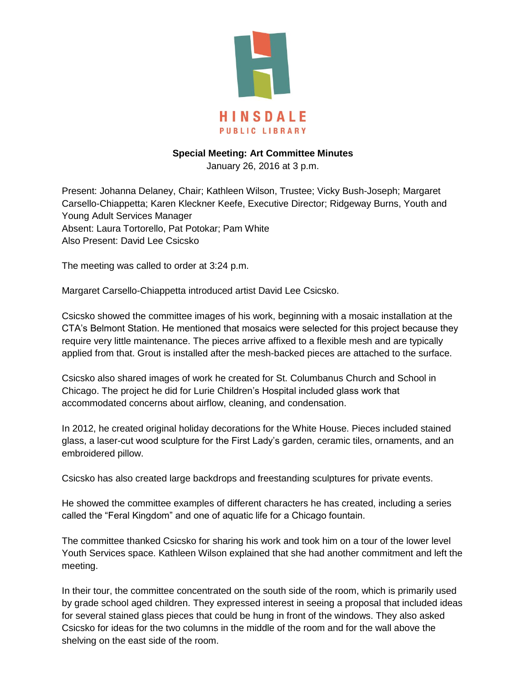

## **Special Meeting: Art Committee Minutes**

January 26, 2016 at 3 p.m.

Present: Johanna Delaney, Chair; Kathleen Wilson, Trustee; Vicky Bush-Joseph; Margaret Carsello-Chiappetta; Karen Kleckner Keefe, Executive Director; Ridgeway Burns, Youth and Young Adult Services Manager Absent: Laura Tortorello, Pat Potokar; Pam White Also Present: David Lee Csicsko

The meeting was called to order at 3:24 p.m.

Margaret Carsello-Chiappetta introduced artist David Lee Csicsko.

Csicsko showed the committee images of his work, beginning with a mosaic installation at the CTA's Belmont Station. He mentioned that mosaics were selected for this project because they require very little maintenance. The pieces arrive affixed to a flexible mesh and are typically applied from that. Grout is installed after the mesh-backed pieces are attached to the surface.

Csicsko also shared images of work he created for St. Columbanus Church and School in Chicago. The project he did for Lurie Children's Hospital included glass work that accommodated concerns about airflow, cleaning, and condensation.

In 2012, he created original holiday decorations for the White House. Pieces included stained glass, a laser-cut wood sculpture for the First Lady's garden, ceramic tiles, ornaments, and an embroidered pillow.

Csicsko has also created large backdrops and freestanding sculptures for private events.

He showed the committee examples of different characters he has created, including a series called the "Feral Kingdom" and one of aquatic life for a Chicago fountain.

The committee thanked Csicsko for sharing his work and took him on a tour of the lower level Youth Services space. Kathleen Wilson explained that she had another commitment and left the meeting.

In their tour, the committee concentrated on the south side of the room, which is primarily used by grade school aged children. They expressed interest in seeing a proposal that included ideas for several stained glass pieces that could be hung in front of the windows. They also asked Csicsko for ideas for the two columns in the middle of the room and for the wall above the shelving on the east side of the room.